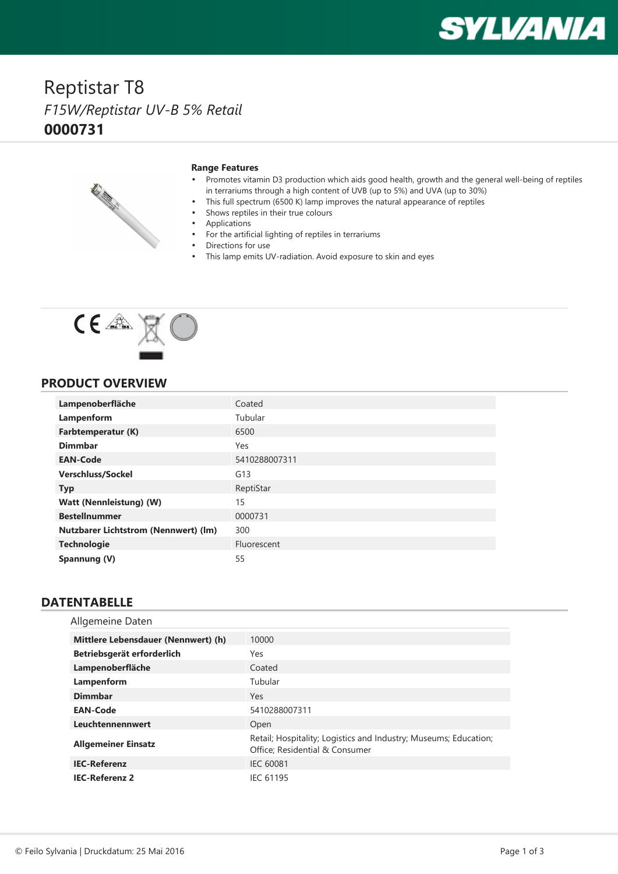# **SYLVANIA**

## Reptistar T8 *F15W/Reptistar UV-B 5% Retail* **0000731**



#### **Range Features**

- • Promotes vitamin D3 production which aids good health, growth and the general well-being of reptiles in terrariums through <sup>a</sup> high content of UVB (up to 5%) and UVA (up to 30%)
	- This full spectrum (6500 K) lamp improves the natural appearance of reptiles
- •Shows reptiles in their true colours
- •Applications

•

- •For the artificial lighting of reptiles in terrariums
- •Directions for use
- •This lamp emits UV-radiation. Avoid exposure to skin and eyes



#### **PRODUCT OVERVIEW**

| Lampenoberfläche                            | Coated        |
|---------------------------------------------|---------------|
| Lampenform                                  | Tubular       |
| Farbtemperatur (K)                          | 6500          |
| <b>Dimmbar</b>                              | Yes           |
| <b>EAN-Code</b>                             | 5410288007311 |
| <b>Verschluss/Sockel</b>                    | G13           |
| <b>Typ</b>                                  | ReptiStar     |
| <b>Watt (Nennleistung) (W)</b>              | 15            |
| <b>Bestellnummer</b>                        | 0000731       |
| <b>Nutzbarer Lichtstrom (Nennwert) (lm)</b> | 300           |
| <b>Technologie</b>                          | Fluorescent   |
| Spannung (V)                                | 55            |

#### **DATENTABELLE**

| Allgemeine Daten                    |                                                                                                    |
|-------------------------------------|----------------------------------------------------------------------------------------------------|
| Mittlere Lebensdauer (Nennwert) (h) | 10000                                                                                              |
| Betriebsgerät erforderlich          | Yes                                                                                                |
| Lampenoberfläche                    | Coated                                                                                             |
| Lampenform                          | Tubular                                                                                            |
| <b>Dimmbar</b>                      | Yes                                                                                                |
| <b>EAN-Code</b>                     | 5410288007311                                                                                      |
| Leuchtennennwert                    | Open                                                                                               |
| <b>Allgemeiner Einsatz</b>          | Retail; Hospitality; Logistics and Industry; Museums; Education;<br>Office; Residential & Consumer |
| <b>IEC-Referenz</b>                 | <b>IEC 60081</b>                                                                                   |
| <b>IEC-Referenz 2</b>               | <b>IEC 61195</b>                                                                                   |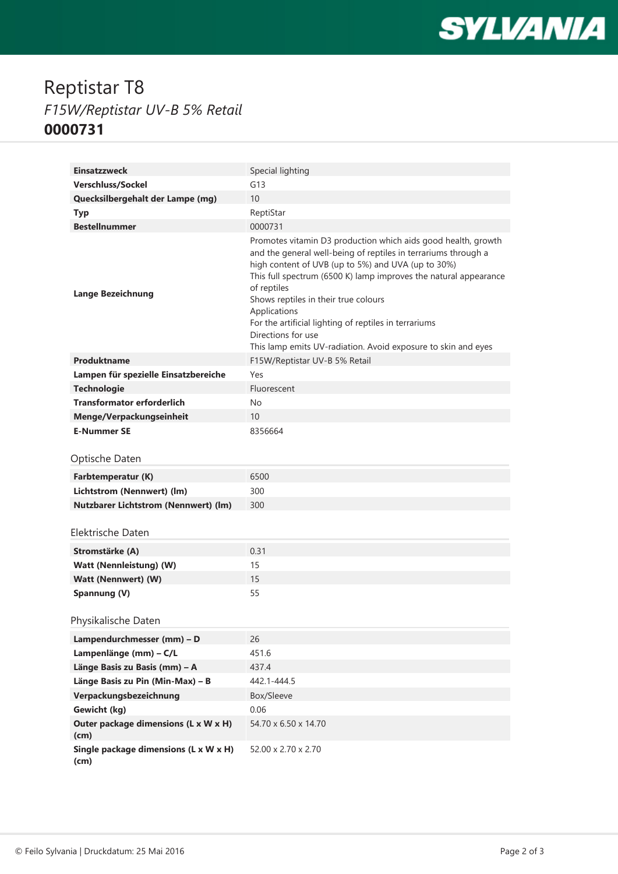

## Reptistar T8 *F15W/Reptistar UV-B 5% Retail* **0000731**

| <b>Einsatzzweck</b>                           | Special lighting                                                                                                                                                                                                                                                                                                                                                                                                                                                                 |
|-----------------------------------------------|----------------------------------------------------------------------------------------------------------------------------------------------------------------------------------------------------------------------------------------------------------------------------------------------------------------------------------------------------------------------------------------------------------------------------------------------------------------------------------|
| Verschluss/Sockel                             | G13                                                                                                                                                                                                                                                                                                                                                                                                                                                                              |
| Quecksilbergehalt der Lampe (mg)              | 10                                                                                                                                                                                                                                                                                                                                                                                                                                                                               |
| <b>Typ</b>                                    | ReptiStar                                                                                                                                                                                                                                                                                                                                                                                                                                                                        |
| <b>Bestellnummer</b>                          | 0000731                                                                                                                                                                                                                                                                                                                                                                                                                                                                          |
| <b>Lange Bezeichnung</b>                      | Promotes vitamin D3 production which aids good health, growth<br>and the general well-being of reptiles in terrariums through a<br>high content of UVB (up to 5%) and UVA (up to 30%)<br>This full spectrum (6500 K) lamp improves the natural appearance<br>of reptiles<br>Shows reptiles in their true colours<br>Applications<br>For the artificial lighting of reptiles in terrariums<br>Directions for use<br>This lamp emits UV-radiation. Avoid exposure to skin and eyes |
| Produktname                                   | F15W/Reptistar UV-B 5% Retail                                                                                                                                                                                                                                                                                                                                                                                                                                                    |
| Lampen für spezielle Einsatzbereiche          | Yes                                                                                                                                                                                                                                                                                                                                                                                                                                                                              |
| <b>Technologie</b>                            | Fluorescent                                                                                                                                                                                                                                                                                                                                                                                                                                                                      |
| <b>Transformator erforderlich</b>             | No                                                                                                                                                                                                                                                                                                                                                                                                                                                                               |
| Menge/Verpackungseinheit                      | 10 <sup>1</sup>                                                                                                                                                                                                                                                                                                                                                                                                                                                                  |
| <b>E-Nummer SE</b>                            | 8356664                                                                                                                                                                                                                                                                                                                                                                                                                                                                          |
| Optische Daten                                |                                                                                                                                                                                                                                                                                                                                                                                                                                                                                  |
| Farbtemperatur (K)                            | 6500                                                                                                                                                                                                                                                                                                                                                                                                                                                                             |
| Lichtstrom (Nennwert) (lm)                    | 300                                                                                                                                                                                                                                                                                                                                                                                                                                                                              |
| <b>Nutzbarer Lichtstrom (Nennwert) (lm)</b>   | 300                                                                                                                                                                                                                                                                                                                                                                                                                                                                              |
| Elektrische Daten                             |                                                                                                                                                                                                                                                                                                                                                                                                                                                                                  |
|                                               |                                                                                                                                                                                                                                                                                                                                                                                                                                                                                  |
| Stromstärke (A)                               | 0.31                                                                                                                                                                                                                                                                                                                                                                                                                                                                             |
| Watt (Nennleistung) (W)                       | 15                                                                                                                                                                                                                                                                                                                                                                                                                                                                               |
| Watt (Nennwert) (W)                           | 15                                                                                                                                                                                                                                                                                                                                                                                                                                                                               |
| Spannung (V)                                  | 55                                                                                                                                                                                                                                                                                                                                                                                                                                                                               |
| Physikalische Daten                           |                                                                                                                                                                                                                                                                                                                                                                                                                                                                                  |
| Lampendurchmesser (mm) - D                    | 26                                                                                                                                                                                                                                                                                                                                                                                                                                                                               |
| Lampenlänge (mm) - C/L                        | 451.6                                                                                                                                                                                                                                                                                                                                                                                                                                                                            |
| Länge Basis zu Basis (mm) - A                 | 437.4                                                                                                                                                                                                                                                                                                                                                                                                                                                                            |
| Länge Basis zu Pin (Min-Max) - B              | 442.1-444.5                                                                                                                                                                                                                                                                                                                                                                                                                                                                      |
| Verpackungsbezeichnung                        | Box/Sleeve                                                                                                                                                                                                                                                                                                                                                                                                                                                                       |
| Gewicht (kg)                                  | 0.06                                                                                                                                                                                                                                                                                                                                                                                                                                                                             |
| Outer package dimensions (L x W x H)<br>(cm)  | 54.70 x 6.50 x 14.70                                                                                                                                                                                                                                                                                                                                                                                                                                                             |
| Single package dimensions (L x W x H)<br>(cm) | 52.00 x 2.70 x 2.70                                                                                                                                                                                                                                                                                                                                                                                                                                                              |